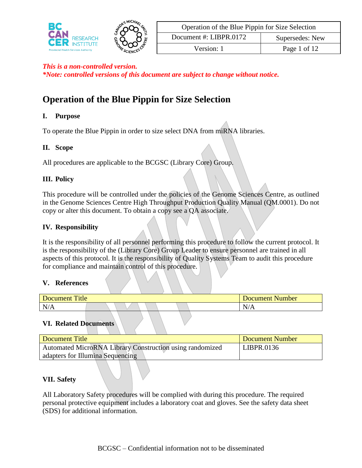

*\*Note: controlled versions of this document are subject to change without notice.*

# **Operation of the Blue Pippin for Size Selection**

### **I. Purpose**

To operate the Blue Pippin in order to size select DNA from miRNA libraries.

### **II. Scope**

All procedures are applicable to the BCGSC (Library Core) Group.

### **III. Policy**

This procedure will be controlled under the policies of the Genome Sciences Centre, as outlined in the Genome Sciences Centre High Throughput Production Quality Manual (QM.0001). Do not copy or alter this document. To obtain a copy see a QA associate.

### **IV. Responsibility**

It is the responsibility of all personnel performing this procedure to follow the current protocol. It is the responsibility of the (Library Core) Group Leader to ensure personnel are trained in all aspects of this protocol. It is the responsibility of Quality Systems Team to audit this procedure for compliance and maintain control of this procedure.

### **V. References**

| Title<br>Document |  |  | <b>Number</b><br><b>Document</b> |
|-------------------|--|--|----------------------------------|
| N/<br>–           |  |  | N/A                              |

### **VI. Related Documents**

| Document Title                                           | Document Number |
|----------------------------------------------------------|-----------------|
| Automated MicroRNA Library Construction using randomized | LIBPR.0136      |
| adapters for Illumina Sequencing                         |                 |

### **VII. Safety**

All Laboratory Safety procedures will be complied with during this procedure. The required personal protective equipment includes a laboratory coat and gloves. See the safety data sheet (SDS) for additional information.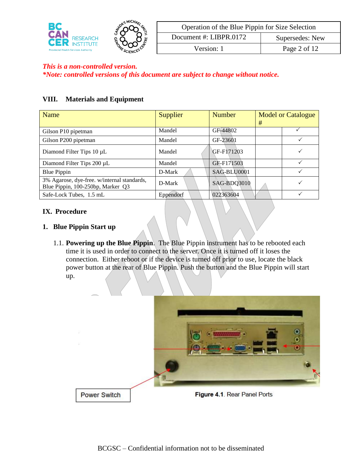

| Operation of the Blue Pippin for Size Selection |              |  |
|-------------------------------------------------|--------------|--|
| Document #: LIBPR.0172<br>Supersedes: New       |              |  |
| Version: 1                                      | Page 2 of 12 |  |

*\*Note: controlled versions of this document are subject to change without notice.*

### **VIII. Materials and Equipment**

| Name                                                                             | Supplier  | <b>Number</b> | # | <b>Model or Catalogue</b> |
|----------------------------------------------------------------------------------|-----------|---------------|---|---------------------------|
| Gilson P10 pipetman                                                              | Mandel    | GF-44802      |   |                           |
| Gilson P200 pipetman                                                             | Mandel    | GF-23601      |   |                           |
| Diamond Filter Tips $10 \mu L$                                                   | Mandel    | GF-F171203    |   |                           |
| Diamond Filter Tips 200 µL                                                       | Mandel    | GF-F171503    |   |                           |
| Blue Pippin                                                                      | D-Mark    | SAG-BLU0001   |   |                           |
| 3% Agarose, dye-free. w/internal standards,<br>Blue Pippin, 100-250bp, Marker Q3 | D-Mark    | SAG-BDQ3010   |   |                           |
| Safe-Lock Tubes, 1.5 mL                                                          | Eppendorf | 022363604     |   |                           |

#### **IX. Procedure**

#### **1. Blue Pippin Start up**

1.1. **Powering up the Blue Pippin**. The Blue Pippin instrument has to be rebooted each time it is used in order to connect to the server. Once it is turned off it loses the connection. Either reboot or if the device is turned off prior to use, locate the black power button at the rear of Blue Pippin. Push the button and the Blue Pippin will start up.

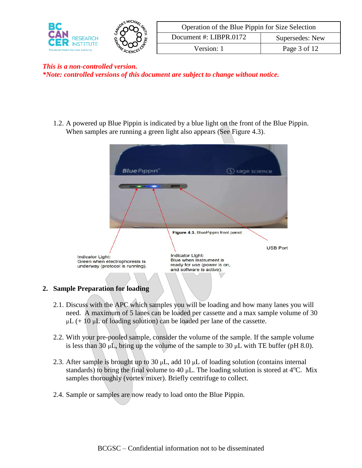

| Operation of the Blue Pippin for Size Selection |              |  |
|-------------------------------------------------|--------------|--|
| Document #: LIBPR.0172<br>Supersedes: New       |              |  |
| Version: 1                                      | Page 3 of 12 |  |

*This is a non-controlled version. \*Note: controlled versions of this document are subject to change without notice.*

1.2. A powered up Blue Pippin is indicated by a blue light on the front of the Blue Pippin. When samples are running a green light also appears (See Figure 4.3).



- 2.1. Discuss with the APC which samples you will be loading and how many lanes you will need. A maximum of 5 lanes can be loaded per cassette and a max sample volume of 30  $\mu L$  (+ 10  $\mu L$  of loading solution) can be loaded per lane of the cassette.
- 2.2. With your pre-pooled sample, consider the volume of the sample. If the sample volume is less than 30  $\mu$ L, bring up the volume of the sample to 30  $\mu$ L with TE buffer (pH 8.0).
- 2.3. After sample is brought up to 30  $\mu$ L, add 10  $\mu$ L of loading solution (contains internal standards) to bring the final volume to 40  $\mu$ L. The loading solution is stored at 4<sup>o</sup>C. Mix samples thoroughly (vortex mixer). Briefly centrifuge to collect.
- 2.4. Sample or samples are now ready to load onto the Blue Pippin.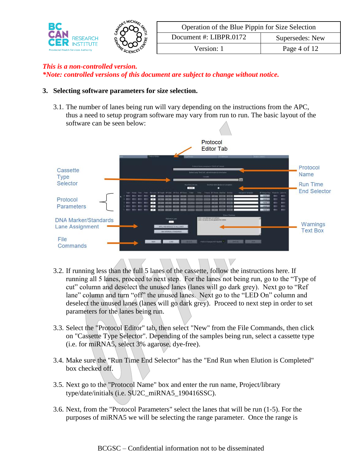

| Operation of the Blue Pippin for Size Selection |              |  |
|-------------------------------------------------|--------------|--|
| Document #: LIBPR.0172<br>Supersedes: New       |              |  |
| Version: 1                                      | Page 4 of 12 |  |

*\*Note: controlled versions of this document are subject to change without notice.*

#### **3. Selecting software parameters for size selection.**

3.1. The number of lanes being run will vary depending on the instructions from the APC, thus a need to setup program software may vary from run to run. The basic layout of the software can be seen below:



- 3.2. If running less than the full 5 lanes of the cassette, follow the instructions here. If running all 5 lanes, proceed to next step. For the lanes not being run, go to the "Type of cut" column and deselect the unused lanes (lanes will go dark grey). Next go to "Ref lane" column and turn "off" the unused lanes. Next go to the "LED On" column and deselect the unused lanes (lanes will go dark grey). Proceed to next step in order to set parameters for the lanes being run.
- 3.3. Select the "Protocol Editor" tab, then select "New" from the File Commands, then click on "Cassette Type Selector". Depending of the samples being run, select a cassette type (i.e. for miRNA5, select 3% agarose, dye-free).
- 3.4. Make sure the "Run Time End Selector" has the "End Run when Elution is Completed" box checked off.
- 3.5. Next go to the "Protocol Name" box and enter the run name, Project/library type/date/initials (i.e. SU2C\_miRNA5\_190416SSC).
- 3.6. Next, from the "Protocol Parameters" select the lanes that will be run (1-5). For the purposes of miRNA5 we will be selecting the range parameter. Once the range is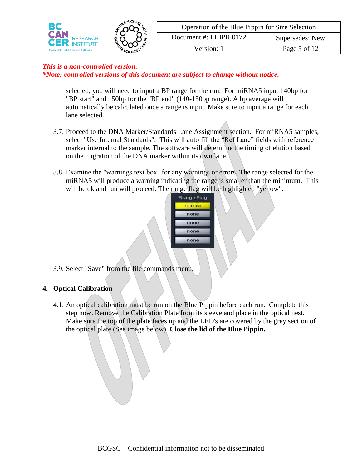

| Operation of the Blue Pippin for Size Selection |              |  |
|-------------------------------------------------|--------------|--|
| Document #: LIBPR.0172<br>Supersedes: New       |              |  |
| Version: 1                                      | Page 5 of 12 |  |

*\*Note: controlled versions of this document are subject to change without notice.*

selected, you will need to input a BP range for the run. For miRNA5 input 140bp for "BP start" and 150bp for the "BP end" (140-150bp range). A bp average will automatically be calculated once a range is input. Make sure to input a range for each lane selected.

- 3.7. Proceed to the DNA Marker/Standards Lane Assignment section. For miRNA5 samples, select "Use Internal Standards". This will auto fill the "Ref Lane" fields with reference marker internal to the sample. The software will determine the timing of elution based on the migration of the DNA marker within its own lane.
- 3.8. Examine the "warnings text box" for any warnings or errors. The range selected for the miRNA5 will produce a warning indicating the range is smaller than the minimum. This will be ok and run will proceed. The range flag will be highlighted "yellow".



3.9. Select "Save" from the file commands menu.

#### **4. Optical Calibration**

4.1. An optical calibration must be run on the Blue Pippin before each run. Complete this step now. Remove the Calibration Plate from its sleeve and place in the optical nest. Make sure the top of the plate faces up and the LED's are covered by the grey section of the optical plate (See image below). **Close the lid of the Blue Pippin.**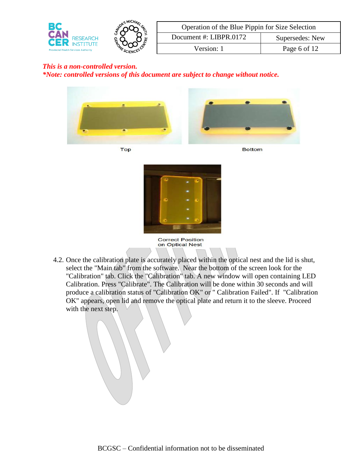

| Operation of the Blue Pippin for Size Selection |              |  |
|-------------------------------------------------|--------------|--|
| Document #: LIBPR.0172<br>Supersedes: New       |              |  |
| Version: 1                                      | Page 6 of 12 |  |

*\*Note: controlled versions of this document are subject to change without notice.*









**Correct Position** on Optical Nest

4.2. Once the calibration plate is accurately placed within the optical nest and the lid is shut, select the "Main tab" from the software. Near the bottom of the screen look for the "Calibration" tab. Click the "Calibration" tab. A new window will open containing LED Calibration. Press "Calibrate". The Calibration will be done within 30 seconds and will produce a calibration status of "Calibration OK" or " Calibration Failed". If "Calibration OK" appears, open lid and remove the optical plate and return it to the sleeve. Proceed with the next step.

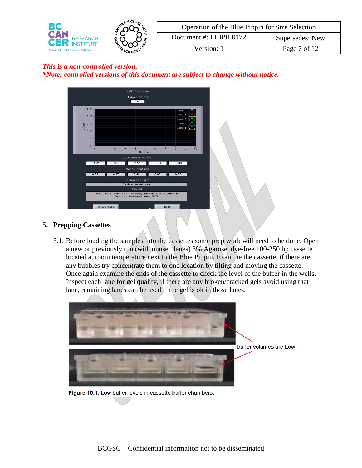

| Operation of the Blue Pippin for Size Selection |              |  |
|-------------------------------------------------|--------------|--|
| Document #: LIBPR.0172<br>Supersedes: New       |              |  |
| Version: 1                                      | Page 7 of 12 |  |

### *This is a non-controlled version. \*Note: controlled versions of this document are subject to change without notice.*



### **5. Prepping Cassettes**

5.1. Before loading the samples into the cassettes some prep work will need to be done. Open a new or previously run (with unused lanes) 3% Agarose, dye-free 100-250 bp cassette located at room temperature next to the Blue Pippin. Examine the cassette, if there are any bubbles try concentrate them to one location by tilting and moving the cassette. Once again examine the ends of the cassette to check the level of the buffer in the wells. Inspect each lane for gel quality, if there are any broken/cracked gels avoid using that lane, remaining lanes can be used if the gel is ok in those lanes.



Figure 10.1. Low buffer levels in cassette buffer chambers.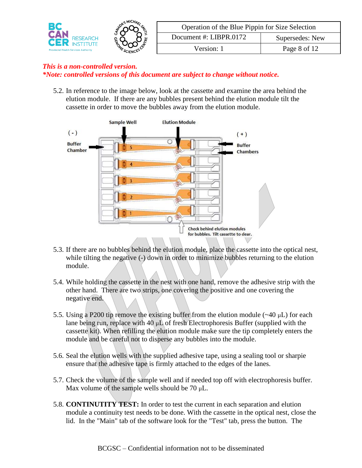

### *This is a non-controlled version. \*Note: controlled versions of this document are subject to change without notice.*

5.2. In reference to the image below, look at the cassette and examine the area behind the elution module. If there are any bubbles present behind the elution module tilt the cassette in order to move the bubbles away from the elution module.



- 5.3. If there are no bubbles behind the elution module, place the cassette into the optical nest, while tilting the negative (-) down in order to minimize bubbles returning to the elution module.
- 5.4. While holding the cassette in the nest with one hand, remove the adhesive strip with the other hand. There are two strips, one covering the positive and one covering the negative end.
- 5.5. Using a P200 tip remove the existing buffer from the elution module  $(-40 \mu L)$  for each lane being run, replace with 40  $\mu$ L of fresh Electrophoresis Buffer (supplied with the cassette kit). When refilling the elution module make sure the tip completely enters the module and be careful not to disperse any bubbles into the module.
- 5.6. Seal the elution wells with the supplied adhesive tape, using a sealing tool or sharpie ensure that the adhesive tape is firmly attached to the edges of the lanes.
- 5.7. Check the volume of the sample well and if needed top off with electrophoresis buffer. Max volume of the sample wells should be  $70 \mu L$ .
- 5.8. **CONTINUTITY TEST:** In order to test the current in each separation and elution module a continuity test needs to be done. With the cassette in the optical nest, close the lid. In the "Main" tab of the software look for the "Test" tab, press the button. The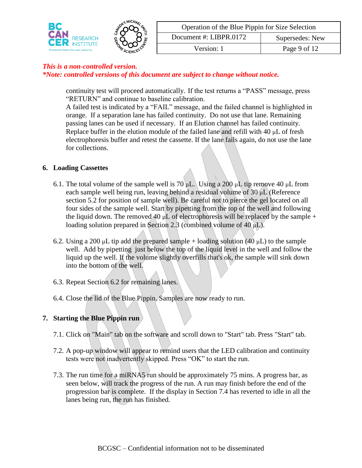

| Operation of the Blue Pippin for Size Selection |              |  |
|-------------------------------------------------|--------------|--|
| Document #: LIBPR.0172<br>Supersedes: New       |              |  |
| Version: 1                                      | Page 9 of 12 |  |

*\*Note: controlled versions of this document are subject to change without notice.*

continuity test will proceed automatically. If the test returns a "PASS" message, press "RETURN" and continue to baseline calibration.

A failed test is indicated by a "FAIL" message, and the failed channel is highlighted in orange. If a separation lane has failed continuity. Do not use that lane. Remaining passing lanes can be used if necessary. If an Elution channel has failed continuity. Replace buffer in the elution module of the failed lane and refill with  $40 \mu L$  of fresh electrophoresis buffer and retest the cassette. If the lane fails again, do not use the lane for collections.

#### **6. Loading Cassettes**

- 6.1. The total volume of the sample well is 70  $\mu$ L. Using a 200  $\mu$ L tip remove 40  $\mu$ L from each sample well being run, leaving behind a residual volume of  $30 \mu L$  (Reference section 5.2 for position of sample well). Be careful not to pierce the gel located on all four sides of the sample well. Start by pipetting from the top of the well and following the liquid down. The removed 40  $\mu$ L of electrophoresis will be replaced by the sample + loading solution prepared in Section 2.3 (combined volume of  $40 \mu L$ ).
- 6.2. Using a 200  $\mu$ L tip add the prepared sample + loading solution (40  $\mu$ L) to the sample well. Add by pipetting just below the top of the liquid level in the well and follow the liquid up the well. If the volume slightly overfills that's ok, the sample will sink down into the bottom of the well.
- 6.3. Repeat Section 6.2 for remaining lanes.
- 6.4. Close the lid of the Blue Pippin. Samples are now ready to run.

### **7. Starting the Blue Pippin run**

- 7.1. Click on "Main" tab on the software and scroll down to "Start" tab. Press "Start" tab.
- 7.2. A pop-up window will appear to remind users that the LED calibration and continuity tests were not inadvertently skipped. Press "OK" to start the run.
- 7.3. The run time for a miRNA5 run should be approximately 75 mins. A progress bar, as seen below, will track the progress of the run. A run may finish before the end of the progression bar is complete. If the display in Section 7.4 has reverted to idle in all the lanes being run, the run has finished.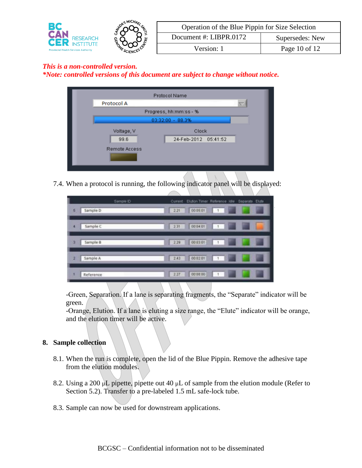

| Operation of the Blue Pippin for Size Selection |               |  |
|-------------------------------------------------|---------------|--|
| Document #: LIBPR.0172<br>Supersedes: New       |               |  |
| Version: 1                                      | Page 10 of 12 |  |

*\*Note: controlled versions of this document are subject to change without notice.*

|                        | <b>Protocol Name</b> |    |
|------------------------|----------------------|----|
| Protocol A             |                      | ≂. |
| Progress, hh:mm:ss - % |                      |    |
| 03:32:00 - 88.3%       |                      |    |
| Voltage, V             | Clock                |    |
| 99.6                   | 24-Feb-2012 05:41:52 |    |
| Remote Access          |                      |    |
|                        |                      |    |
|                        | $\sim$               |    |

7.4. When a protocol is running, the following indicator panel will be displayed:

|   | Sample ID | Elution Timer Reference Idie<br>Separate Elute<br>Current |
|---|-----------|-----------------------------------------------------------|
| 5 | Sample D  | $1 - 1$<br>pr.<br>00:05:01<br>2.21                        |
| ٠ | Sample C  | m<br>m<br>00:04:01<br>$\vert x \vert$<br>2.31             |
| э | Sample B  | m<br>00:03:01<br>$-1 - 1$<br>2.29                         |
| 2 | Sample A  | $\Box$<br>w<br>00:02:01<br>2.43                           |
|   | Reference | 00:00:00<br>2.27<br>$\vert +1 \vert$                      |

-Green, Separation. If a lane is separating fragments, the "Separate" indicator will be green.

-Orange, Elution. If a lane is eluting a size range, the "Elute" indicator will be orange, and the elution timer will be active.

### **8. Sample collection**

- 8.1. When the run is complete, open the lid of the Blue Pippin. Remove the adhesive tape from the elution modules.
- 8.2. Using a 200  $\mu$ L pipette, pipette out 40  $\mu$ L of sample from the elution module (Refer to Section 5.2). Transfer to a pre-labeled 1.5 mL safe-lock tube.
- 8.3. Sample can now be used for downstream applications.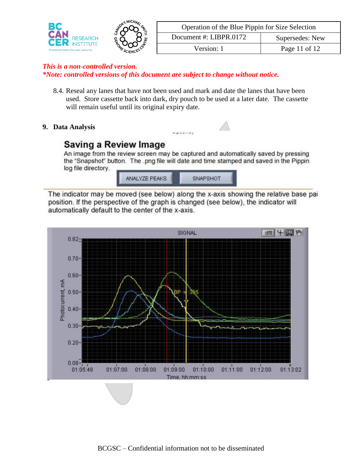

| Operation of the Blue Pippin for Size Selection |                 |  |
|-------------------------------------------------|-----------------|--|
| Document #: LIBPR.0172                          | Supersedes: New |  |
| Version: 1                                      | Page 11 of 12   |  |

*\*Note: controlled versions of this document are subject to change without notice.*

8.4. Reseal any lanes that have not been used and mark and date the lanes that have been used. Store cassette back into dark, dry pouch to be used at a later date. The cassette will remain useful until its original expiry date.

 $-1$ 

### **9. Data Analysis**

## **Saving a Review Image**

An image from the review screen may be captured and automatically saved by pressing the "Snapshot" button. The .png file will date and time stamped and saved in the Pippin log file directory.



The indicator may be moved (see below) along the x-axis showing the relative base pai position. If the perspective of the graph is changed (see below), the indicator will automatically default to the center of the x-axis.